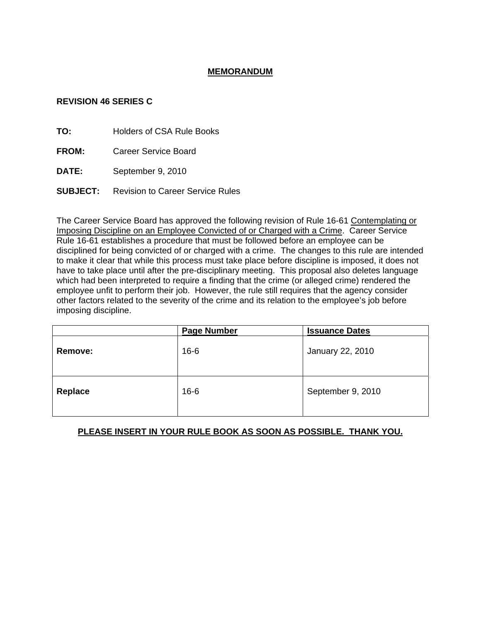## **MEMORANDUM**

## **REVISION 46 SERIES C**

**TO:** Holders of CSA Rule Books

**FROM:** Career Service Board

**DATE:** September 9, 2010

**SUBJECT:** Revision to Career Service Rules

The Career Service Board has approved the following revision of Rule 16-61 Contemplating or Imposing Discipline on an Employee Convicted of or Charged with a Crime. Career Service Rule 16-61 establishes a procedure that must be followed before an employee can be disciplined for being convicted of or charged with a crime. The changes to this rule are intended to make it clear that while this process must take place before discipline is imposed, it does not have to take place until after the pre-disciplinary meeting. This proposal also deletes language which had been interpreted to require a finding that the crime (or alleged crime) rendered the employee unfit to perform their job. However, the rule still requires that the agency consider other factors related to the severity of the crime and its relation to the employee's job before imposing discipline.

|                | <b>Page Number</b> | <b>Issuance Dates</b> |
|----------------|--------------------|-----------------------|
| Remove:        | $16 - 6$           | January 22, 2010      |
| <b>Replace</b> | $16 - 6$           | September 9, 2010     |

# **PLEASE INSERT IN YOUR RULE BOOK AS SOON AS POSSIBLE. THANK YOU.**